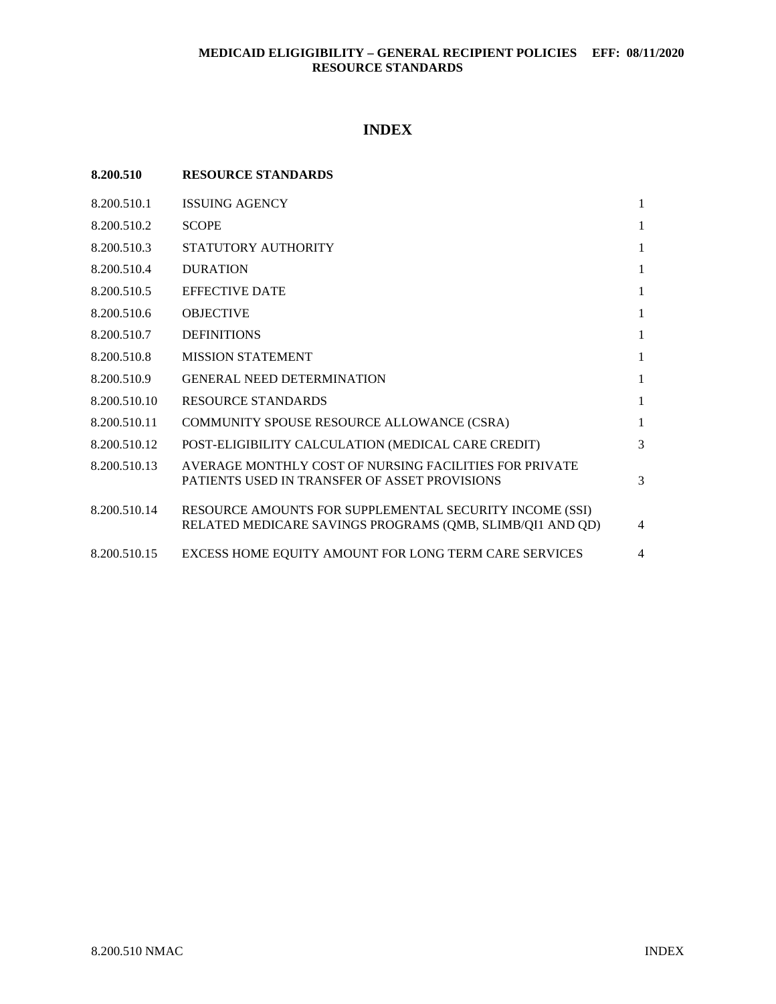# **INDEX**

| 8.200.510    | <b>RESOURCE STANDARDS</b>                                                                                            |                |
|--------------|----------------------------------------------------------------------------------------------------------------------|----------------|
| 8.200.510.1  | <b>ISSUING AGENCY</b>                                                                                                | $\mathbf{1}$   |
| 8.200.510.2  | <b>SCOPE</b>                                                                                                         | $\mathbf{1}$   |
| 8.200.510.3  | STATUTORY AUTHORITY                                                                                                  | $\mathbf{1}$   |
| 8.200.510.4  | <b>DURATION</b>                                                                                                      | 1              |
| 8.200.510.5  | <b>EFFECTIVE DATE</b>                                                                                                | $\mathbf{1}$   |
| 8.200.510.6  | <b>OBJECTIVE</b>                                                                                                     | 1              |
| 8.200.510.7  | <b>DEFINITIONS</b>                                                                                                   | $\mathbf{1}$   |
| 8.200.510.8  | <b>MISSION STATEMENT</b>                                                                                             | $\mathbf{1}$   |
| 8.200.510.9  | <b>GENERAL NEED DETERMINATION</b>                                                                                    | $\mathbf{1}$   |
| 8.200.510.10 | <b>RESOURCE STANDARDS</b>                                                                                            | $\mathbf{1}$   |
| 8.200.510.11 | COMMUNITY SPOUSE RESOURCE ALLOWANCE (CSRA)                                                                           | $\mathbf{1}$   |
| 8.200.510.12 | POST-ELIGIBILITY CALCULATION (MEDICAL CARE CREDIT)                                                                   | 3              |
| 8.200.510.13 | AVERAGE MONTHLY COST OF NURSING FACILITIES FOR PRIVATE<br>PATIENTS USED IN TRANSFER OF ASSET PROVISIONS              | 3              |
| 8.200.510.14 | RESOURCE AMOUNTS FOR SUPPLEMENTAL SECURITY INCOME (SSI)<br>RELATED MEDICARE SAVINGS PROGRAMS (QMB, SLIMB/QI1 AND QD) | $\overline{4}$ |
| 8.200.510.15 | EXCESS HOME EQUITY AMOUNT FOR LONG TERM CARE SERVICES                                                                | $\overline{4}$ |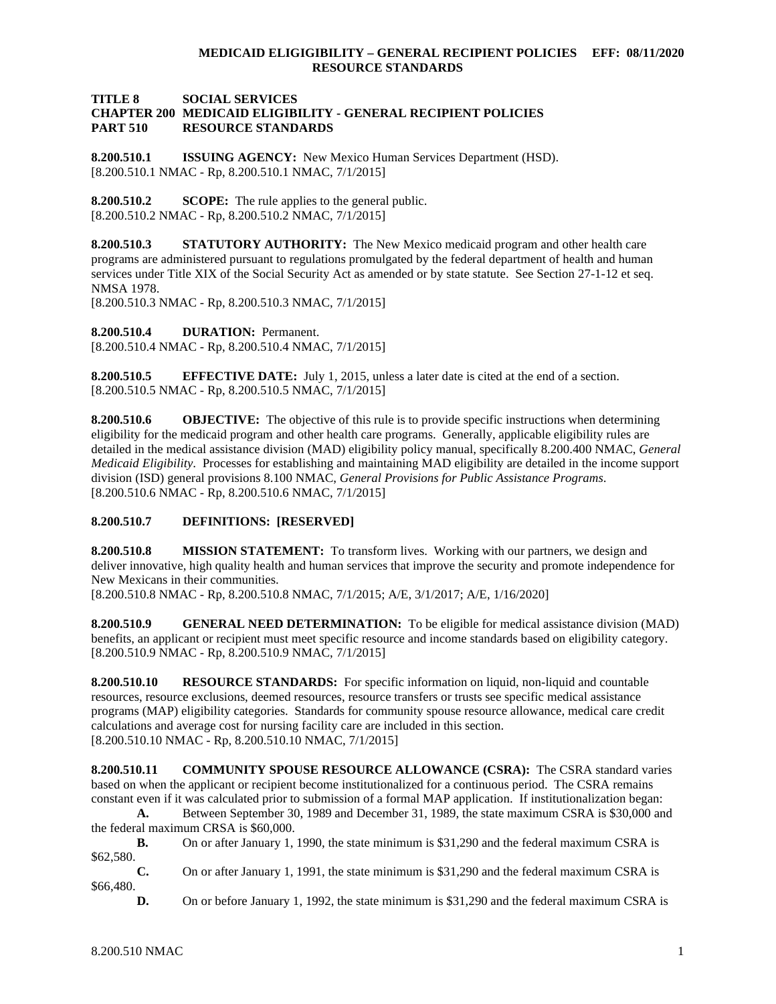## **TITLE 8 SOCIAL SERVICES CHAPTER 200 MEDICAID ELIGIBILITY - GENERAL RECIPIENT POLICIES PART 510 RESOURCE STANDARDS**

<span id="page-1-0"></span>**8.200.510.1 ISSUING AGENCY:** New Mexico Human Services Department (HSD). [8.200.510.1 NMAC - Rp, 8.200.510.1 NMAC, 7/1/2015]

<span id="page-1-1"></span>**8.200.510.2 SCOPE:** The rule applies to the general public. [8.200.510.2 NMAC - Rp, 8.200.510.2 NMAC, 7/1/2015]

<span id="page-1-2"></span>**8.200.510.3 STATUTORY AUTHORITY:** The New Mexico medicaid program and other health care programs are administered pursuant to regulations promulgated by the federal department of health and human services under Title XIX of the Social Security Act as amended or by state statute. See Section 27-1-12 et seq. NMSA 1978.

[8.200.510.3 NMAC - Rp, 8.200.510.3 NMAC, 7/1/2015]

<span id="page-1-3"></span>**8.200.510.4 DURATION:** Permanent. [8.200.510.4 NMAC - Rp, 8.200.510.4 NMAC, 7/1/2015]

<span id="page-1-4"></span>**8.200.510.5 EFFECTIVE DATE:** July 1, 2015, unless a later date is cited at the end of a section. [8.200.510.5 NMAC - Rp, 8.200.510.5 NMAC, 7/1/2015]

<span id="page-1-5"></span>**8.200.510.6 OBJECTIVE:** The objective of this rule is to provide specific instructions when determining eligibility for the medicaid program and other health care programs. Generally, applicable eligibility rules are detailed in the medical assistance division (MAD) eligibility policy manual, specifically 8.200.400 NMAC, *General Medicaid Eligibility*. Processes for establishing and maintaining MAD eligibility are detailed in the income support division (ISD) general provisions 8.100 NMAC, *General Provisions for Public Assistance Programs*. [8.200.510.6 NMAC - Rp, 8.200.510.6 NMAC, 7/1/2015]

### <span id="page-1-6"></span>**8.200.510.7 DEFINITIONS: [RESERVED]**

<span id="page-1-7"></span>**8.200.510.8 MISSION STATEMENT:** To transform lives. Working with our partners, we design and deliver innovative, high quality health and human services that improve the security and promote independence for New Mexicans in their communities.

[8.200.510.8 NMAC - Rp, 8.200.510.8 NMAC, 7/1/2015; A/E, 3/1/2017; A/E, 1/16/2020]

<span id="page-1-8"></span>**8.200.510.9 GENERAL NEED DETERMINATION:** To be eligible for medical assistance division (MAD) benefits, an applicant or recipient must meet specific resource and income standards based on eligibility category. [8.200.510.9 NMAC - Rp, 8.200.510.9 NMAC, 7/1/2015]

<span id="page-1-9"></span>**8.200.510.10 RESOURCE STANDARDS:** For specific information on liquid, non-liquid and countable resources, resource exclusions, deemed resources, resource transfers or trusts see specific medical assistance programs (MAP) eligibility categories. Standards for community spouse resource allowance, medical care credit calculations and average cost for nursing facility care are included in this section. [8.200.510.10 NMAC - Rp, 8.200.510.10 NMAC, 7/1/2015]

<span id="page-1-10"></span>**8.200.510.11 COMMUNITY SPOUSE RESOURCE ALLOWANCE (CSRA):** The CSRA standard varies based on when the applicant or recipient become institutionalized for a continuous period. The CSRA remains constant even if it was calculated prior to submission of a formal MAP application. If institutionalization began:

**A.** Between September 30, 1989 and December 31, 1989, the state maximum CSRA is \$30,000 and the federal maximum CRSA is \$60,000.

**B.** On or after January 1, 1990, the state minimum is \$31,290 and the federal maximum CSRA is \$62,580.

**C.** On or after January 1, 1991, the state minimum is \$31,290 and the federal maximum CSRA is \$66,480.

**D.** On or before January 1, 1992, the state minimum is \$31,290 and the federal maximum CSRA is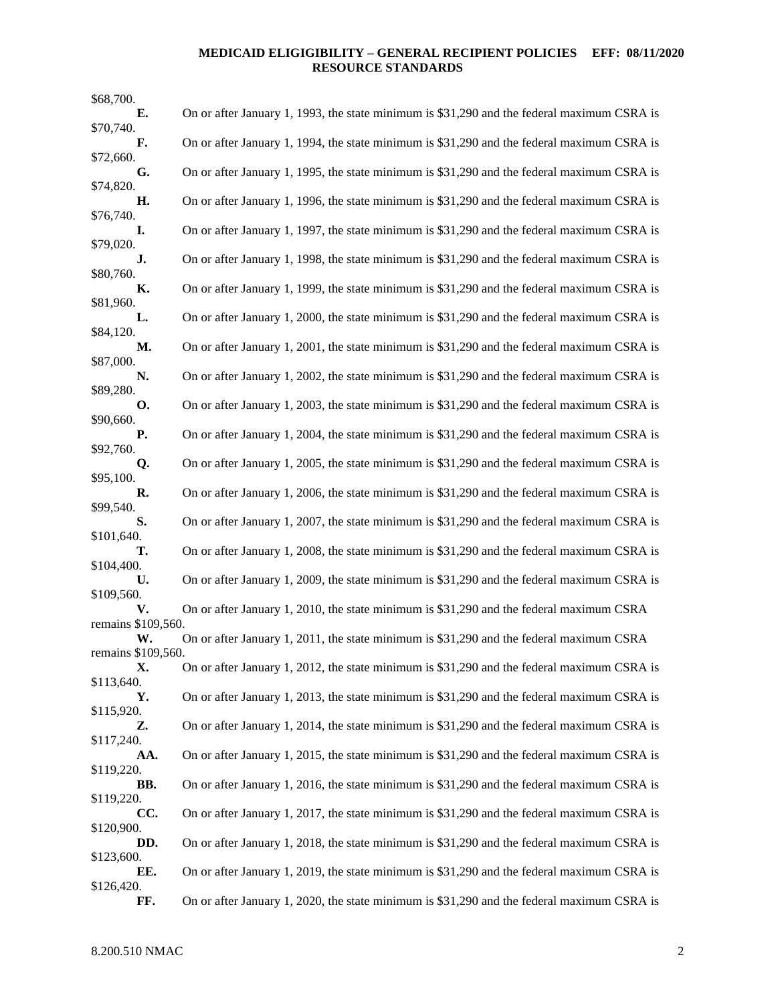| \$68,700.                |                                                                                            |
|--------------------------|--------------------------------------------------------------------------------------------|
| Е.                       | On or after January 1, 1993, the state minimum is \$31,290 and the federal maximum CSRA is |
| \$70,740.<br>F.          | On or after January 1, 1994, the state minimum is \$31,290 and the federal maximum CSRA is |
| \$72,660.                |                                                                                            |
| G.<br>\$74,820.          | On or after January 1, 1995, the state minimum is \$31,290 and the federal maximum CSRA is |
| Η.<br>\$76,740.          | On or after January 1, 1996, the state minimum is \$31,290 and the federal maximum CSRA is |
| I.<br>\$79,020.          | On or after January 1, 1997, the state minimum is \$31,290 and the federal maximum CSRA is |
| J.<br>\$80,760.          | On or after January 1, 1998, the state minimum is \$31,290 and the federal maximum CSRA is |
| К.<br>\$81,960.          | On or after January 1, 1999, the state minimum is \$31,290 and the federal maximum CSRA is |
| L.                       | On or after January 1, 2000, the state minimum is \$31,290 and the federal maximum CSRA is |
| \$84,120.<br>М.          | On or after January 1, 2001, the state minimum is \$31,290 and the federal maximum CSRA is |
| \$87,000.<br>N.          | On or after January 1, 2002, the state minimum is \$31,290 and the federal maximum CSRA is |
| \$89,280.<br>О.          | On or after January 1, 2003, the state minimum is \$31,290 and the federal maximum CSRA is |
| \$90,660.<br>Р.          | On or after January 1, 2004, the state minimum is \$31,290 and the federal maximum CSRA is |
| \$92,760.<br>Q.          | On or after January 1, 2005, the state minimum is \$31,290 and the federal maximum CSRA is |
| \$95,100.<br>R.          | On or after January 1, 2006, the state minimum is \$31,290 and the federal maximum CSRA is |
| \$99,540.                |                                                                                            |
| S.<br>\$101,640.         | On or after January 1, 2007, the state minimum is \$31,290 and the federal maximum CSRA is |
| т.<br>\$104,400.         | On or after January 1, 2008, the state minimum is \$31,290 and the federal maximum CSRA is |
| U.<br>\$109,560.         | On or after January 1, 2009, the state minimum is \$31,290 and the federal maximum CSRA is |
| V.<br>remains \$109,560. | On or after January 1, 2010, the state minimum is \$31,290 and the federal maximum CSRA    |
| W.                       | On or after January 1, 2011, the state minimum is \$31,290 and the federal maximum CSRA    |
| remains \$109,560.<br>Х. | On or after January 1, 2012, the state minimum is \$31,290 and the federal maximum CSRA is |
| \$113,640.               |                                                                                            |
| Υ.<br>\$115,920.         | On or after January 1, 2013, the state minimum is \$31,290 and the federal maximum CSRA is |
| Z.<br>\$117,240.         | On or after January 1, 2014, the state minimum is \$31,290 and the federal maximum CSRA is |
| AA.<br>\$119,220.        | On or after January 1, 2015, the state minimum is \$31,290 and the federal maximum CSRA is |
| BB.                      | On or after January 1, 2016, the state minimum is \$31,290 and the federal maximum CSRA is |
| \$119,220.<br>CC.        | On or after January 1, 2017, the state minimum is \$31,290 and the federal maximum CSRA is |
| \$120,900.<br>DD.        | On or after January 1, 2018, the state minimum is \$31,290 and the federal maximum CSRA is |
| \$123,600.<br>EE.        | On or after January 1, 2019, the state minimum is \$31,290 and the federal maximum CSRA is |
| \$126,420.               |                                                                                            |
| FF.                      | On or after January 1, 2020, the state minimum is \$31,290 and the federal maximum CSRA is |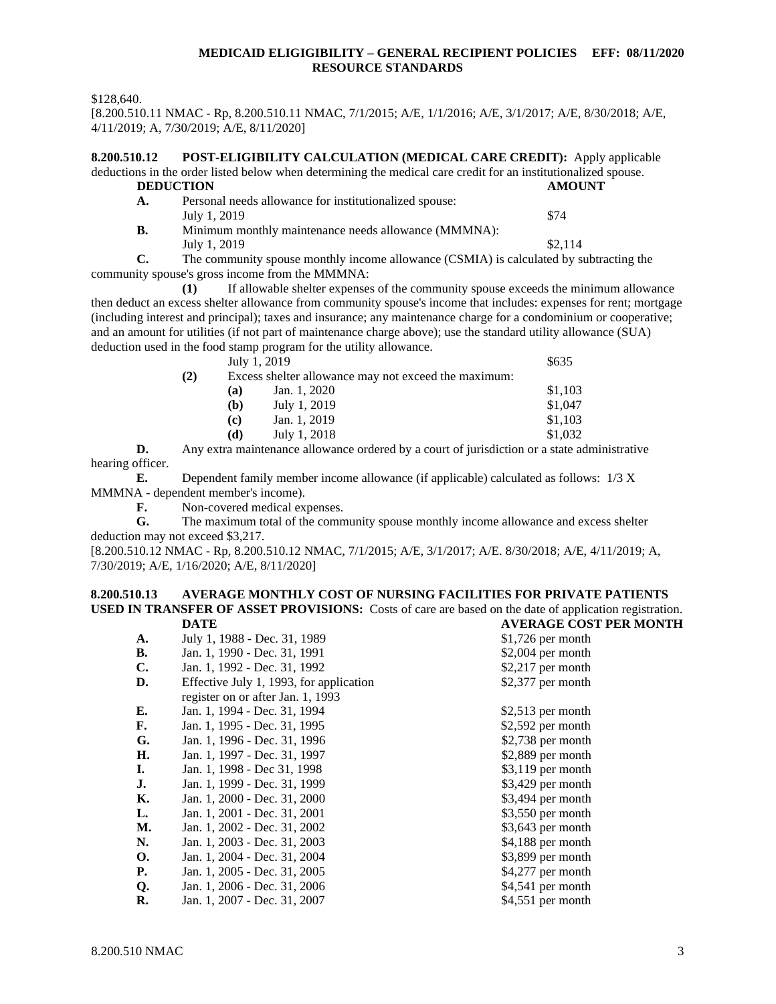\$128,640.

[8.200.510.11 NMAC - Rp, 8.200.510.11 NMAC, 7/1/2015; A/E, 1/1/2016; A/E, 3/1/2017; A/E, 8/30/2018; A/E, 4/11/2019; A, 7/30/2019; A/E, 8/11/2020]

<span id="page-3-0"></span>**8.200.510.12 POST-ELIGIBILITY CALCULATION (MEDICAL CARE CREDIT):** Apply applicable deductions in the order listed below when determining the medical care credit for an institutionalized spouse. **DEDUCTION AMOUNT A.** Personal needs allowance for institutionalized spouse: July 1, 2019  $\frac{$74}{ }$ **B.** Minimum monthly maintenance needs allowance (MMMNA): July 1, 2019  $\frac{$2,114}{ }$ 

**C.** The community spouse monthly income allowance (CSMIA) is calculated by subtracting the community spouse's gross income from the MMMNA:

**(1)** If allowable shelter expenses of the community spouse exceeds the minimum allowance then deduct an excess shelter allowance from community spouse's income that includes: expenses for rent; mortgage (including interest and principal); taxes and insurance; any maintenance charge for a condominium or cooperative; and an amount for utilities (if not part of maintenance charge above); use the standard utility allowance (SUA) deduction used in the food stamp program for the utility allowance.

|     |                                                      | July 1, 2019 | \$635   |
|-----|------------------------------------------------------|--------------|---------|
| (2) | Excess shelter allowance may not exceed the maximum: |              |         |
|     | (a)                                                  | Jan. 1, 2020 | \$1,103 |
|     | (b)                                                  | July 1, 2019 | \$1,047 |
|     | (c)                                                  | Jan. 1, 2019 | \$1.103 |
|     | (d)                                                  | July 1, 2018 | \$1,032 |
|     |                                                      |              |         |

**D.** Any extra maintenance allowance ordered by a court of jurisdiction or a state administrative hearing officer.

**E.** Dependent family member income allowance (if applicable) calculated as follows: 1/3 X MMMNA - dependent member's income).

**F.** Non-covered medical expenses.<br> **G.** The maximum total of the comm

**G.** The maximum total of the community spouse monthly income allowance and excess shelter deduction may not exceed \$3,217.

[8.200.510.12 NMAC - Rp, 8.200.510.12 NMAC, 7/1/2015; A/E, 3/1/2017; A/E. 8/30/2018; A/E, 4/11/2019; A, 7/30/2019; A/E, 1/16/2020; A/E, 8/11/2020]

#### <span id="page-3-1"></span>**8.200.510.13 AVERAGE MONTHLY COST OF NURSING FACILITIES FOR PRIVATE PATIENTS USED IN TRANSFER OF ASSET PROVISIONS:** Costs of care are based on the date of application registration.<br> **DATE** AVERAGE COST PER MONTH **DATE AVERAGE COST PER MONTH**

|                |                                         | ************************ |
|----------------|-----------------------------------------|--------------------------|
| A.             | July 1, 1988 - Dec. 31, 1989            | $$1,726$ per month       |
| В.             | Jan. 1, 1990 - Dec. 31, 1991            | $$2,004$ per month       |
| $\mathbf{C}$ . | Jan. 1, 1992 - Dec. 31, 1992            | $$2,217$ per month       |
| D.             | Effective July 1, 1993, for application | \$2,377 per month        |
|                | register on or after Jan. 1, 1993       |                          |
| Е.             | Jan. 1, 1994 - Dec. 31, 1994            | $$2,513$ per month       |
| F.             | Jan. 1, 1995 - Dec. 31, 1995            | $$2,592$ per month       |
| G.             | Jan. 1, 1996 - Dec. 31, 1996            | $$2,738$ per month       |
| Н.             | Jan. 1, 1997 - Dec. 31, 1997            | \$2,889 per month        |
| Ι.             | Jan. 1, 1998 - Dec 31, 1998             | \$3,119 per month        |
| J.             | Jan. 1, 1999 - Dec. 31, 1999            | \$3,429 per month        |
| К.             | Jan. 1, 2000 - Dec. 31, 2000            | $$3,494$ per month       |
| L.             | Jan. 1, 2001 - Dec. 31, 2001            | $$3,550$ per month       |
| М.             | Jan. 1, 2002 - Dec. 31, 2002            | $$3,643$ per month       |
| N.             | Jan. 1, 2003 - Dec. 31, 2003            | \$4,188 per month        |
| <b>O.</b>      | Jan. 1, 2004 - Dec. 31, 2004            | \$3,899 per month        |
| Р.             | Jan. 1, 2005 - Dec. 31, 2005            | $$4,277$ per month       |
| Q.             | Jan. 1, 2006 - Dec. 31, 2006            | \$4,541 per month        |
| R.             | Jan. 1, 2007 - Dec. 31, 2007            | $$4,551$ per month       |
|                |                                         |                          |